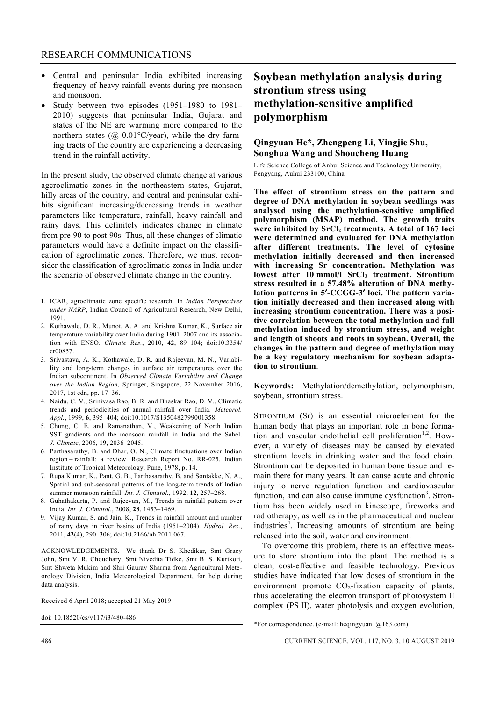- Central and peninsular India exhibited increasing frequency of heavy rainfall events during pre-monsoon and monsoon.
- Study between two episodes (1951–1980 to 1981– 2010) suggests that peninsular India, Gujarat and states of the NE are warming more compared to the northern states ( $\omega$  0.01°C/year), while the dry farming tracts of the country are experiencing a decreasing trend in the rainfall activity.

In the present study, the observed climate change at various agcroclimatic zones in the northeastern states, Gujarat, hilly areas of the country, and central and peninsular exhibits significant increasing/decreasing trends in weather parameters like temperature, rainfall, heavy rainfall and rainy days. This definitely indicates change in climate from pre-90 to post-90s. Thus, all these changes of climatic parameters would have a definite impact on the classification of agroclimatic zones. Therefore, we must reconsider the classification of agroclimatic zones in India under the scenario of observed climate change in the country.

- 1. ICAR, agroclimatic zone specific research. In *Indian Perspectives under NARP*, Indian Council of Agricultural Research, New Delhi, 1991.
- 2. Kothawale, D. R., Munot, A. A. and Krishna Kumar, K., Surface air temperature variability over India during 1901–2007 and its association with ENSO. *Climate Res.*, 2010, **42**, 89–104; doi:10.3354/ cr00857.
- 3. Srivastava, A. K., Kothawale, D. R. and Rajeevan, M. N., Variability and long-term changes in surface air temperatures over the Indian subcontinent. In *Observed Climate Variability and Change over the Indian Region*, Springer, Singapore, 22 November 2016, 2017, 1st edn, pp. 17–36.
- 4. Naidu, C. V., Srinivasa Rao, B. R. and Bhaskar Rao, D. V., Climatic trends and periodicities of annual rainfall over India. *Meteorol. Appl.*, 1999, **6**, 395–404; doi:10.1017/S1350482799001358.
- 5. Chung, C. E. and Ramanathan, V., Weakening of North Indian SST gradients and the monsoon rainfall in India and the Sahel. *J. Climate*, 2006, **19**, 2036–2045.
- 6. Parthasarathy, B. and Dhar, O. N., Climate fluctuations over Indian region – rainfall: a review. Research Report No. RR-025. Indian Institute of Tropical Meteorology, Pune, 1978, p. 14.
- 7. Rupa Kumar, K., Pant, G. B., Parthasarathy, B. and Sontakke, N. A., Spatial and sub-seasonal patterns of the long-term trends of Indian summer monsoon rainfall. *Int. J. Climatol.*, 1992, **12**, 257–268.
- 8. Guhathakurta, P. and Rajeevan, M., Trends in rainfall pattern over India. *Int. J. Climatol.*, 2008, **28**, 1453–1469.
- 9. Vijay Kumar, S. and Jain, K., Trends in rainfall amount and number of rainy days in river basins of India (1951–2004). *Hydrol. Res*., 2011, **42**(4), 290–306; doi:10.2166/nh.2011.067.

ACKNOWLEDGEMENTS. We thank Dr S. Khedikar, Smt Gracy John, Smt V. R. Choudhary, Smt Nivedita Tidke, Smt B. S. Kurtkoti, Smt Shweta Mukim and Shri Gaurav Sharma from Agricultural Meteorology Division, India Meteorological Department, for help during data analysis.

Received 6 April 2018; accepted 21 May 2019

doi: 10.18520/cs/v117/i3/480-486

# **Soybean methylation analysis during strontium stress using methylation-sensitive amplified polymorphism**

## **Qingyuan He\*, Zhengpeng Li, Yingjie Shu, Songhua Wang and Shoucheng Huang**

Life Science College of Anhui Science and Technology University, Fengyang, Auhui 233100, China

**The effect of strontium stress on the pattern and degree of DNA methylation in soybean seedlings was analysed using the methylation-sensitive amplified polymorphism (MSAP) method. The growth traits**  were inhibited by SrCl<sub>2</sub> treatments. A total of 167 loci **were determined and evaluated for DNA methylation after different treatments. The level of cytosine methylation initially decreased and then increased with increasing Sr concentration. Methylation was**  lowest after 10 mmol/l SrCl<sub>2</sub> treatment. Strontium **stress resulted in a 57.48% alteration of DNA methylation patterns in 5**′**-CCGG-3**′ **loci. The pattern variation initially decreased and then increased along with increasing strontium concentration. There was a positive correlation between the total methylation and full methylation induced by strontium stress, and weight and length of shoots and roots in soybean. Overall, the changes in the pattern and degree of methylation may be a key regulatory mechanism for soybean adaptation to strontium**.

**Keywords:** Methylation/demethylation, polymorphism, soybean, strontium stress.

STRONTIUM (Sr) is an essential microelement for the human body that plays an important role in bone formation and vascular endothelial cell proliferation<sup>1,2</sup>. However, a variety of diseases may be caused by elevated strontium levels in drinking water and the food chain. Strontium can be deposited in human bone tissue and remain there for many years. It can cause acute and chronic injury to nerve regulation function and cardiovascular function, and can also cause immune dysfunction<sup>3</sup>. Strontium has been widely used in kinescope, fireworks and radiotherapy, as well as in the pharmaceutical and nuclear industries<sup>4</sup>. Increasing amounts of strontium are being released into the soil, water and environment.

 To overcome this problem, there is an effective measure to store strontium into the plant. The method is a clean, cost-effective and feasible technology. Previous studies have indicated that low doses of strontium in the environment promote  $CO<sub>2</sub>$ -fixation capacity of plants, thus accelerating the electron transport of photosystem II complex (PS II), water photolysis and oxygen evolution,

<sup>\*</sup>For correspondence. (e-mail: heqingyuan $1$   $\omega$  $163$ .com)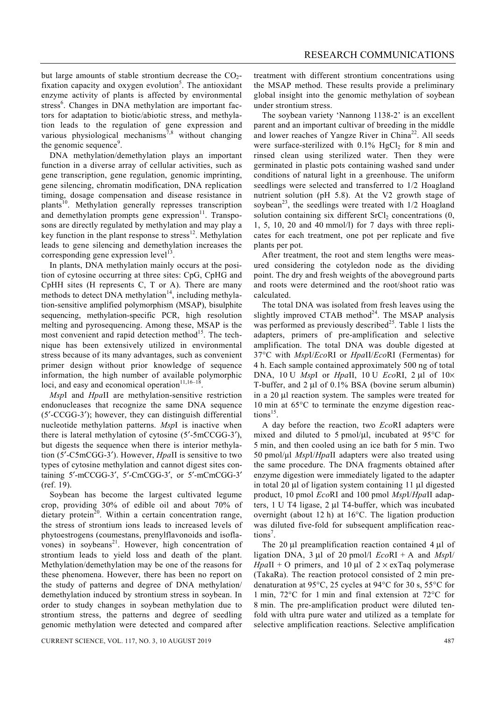but large amounts of stable strontium decrease the  $CO<sub>2</sub>$ fixation capacity and oxygen evolution<sup>5</sup>. The antioxidant enzyme activity of plants is affected by environmental stress<sup>6</sup>. Changes in DNA methylation are important factors for adaptation to biotic/abiotic stress, and methylation leads to the regulation of gene expression and various physiological mechanisms<sup>7,8</sup> without changing the genomic sequence<sup>9</sup>.

 DNA methylation/demethylation plays an important function in a diverse array of cellular activities, such as gene transcription, gene regulation, genomic imprinting, gene silencing, chromatin modification, DNA replication timing, dosage compensation and disease resistance in plants<sup>10</sup>. Methylation generally represses transcription and demethylation prompts gene expression $11$ . Transposons are directly regulated by methylation and may play a key function in the plant response to stress<sup>12</sup>. Methylation leads to gene silencing and demethylation increases the corresponding gene expression level $13$ .

 In plants, DNA methylation mainly occurs at the position of cytosine occurring at three sites: CpG, CpHG and CpHH sites (H represents C, T or A). There are many methods to detect DNA methylation $14$ , including methylation-sensitive amplified polymorphism (MSAP), bisulphite sequencing, methylation-specific PCR, high resolution melting and pyrosequencing. Among these, MSAP is the most convenient and rapid detection method<sup>15</sup>. The technique has been extensively utilized in environmental stress because of its many advantages, such as convenient primer design without prior knowledge of sequence information, the high number of available polymorphic loci, and easy and economical operation<sup>11,16–18</sup>

*Msp*I and *Hpa*II are methylation-sensitive restriction endonucleases that recognize the same DNA sequence (5′-CCGG-3′); however, they can distinguish differential nucleotide methylation patterns. *Msp*I is inactive when there is lateral methylation of cytosine (5′-5mCCGG-3′), but digests the sequence when there is interior methylation (5′-C5mCGG-3′). However, *Hpa*II is sensitive to two types of cytosine methylation and cannot digest sites containing 5′-mCCGG-3′, 5′-CmCGG-3′, or 5′-mCmCGG-3′ (ref. 19).

 Soybean has become the largest cultivated legume crop, providing 30% of edible oil and about 70% of dietary protein<sup>20</sup>. Within a certain concentration range, the stress of strontium ions leads to increased levels of phytoestrogens (coumestans, prenylflavonoids and isoflavones) in soybeans<sup>21</sup>. However, high concentration of strontium leads to yield loss and death of the plant. Methylation/demethylation may be one of the reasons for these phenomena. However, there has been no report on the study of patterns and degree of DNA methylation/ demethylation induced by strontium stress in soybean. In order to study changes in soybean methylation due to strontium stress, the patterns and degree of seedling genomic methylation were detected and compared after treatment with different strontium concentrations using the MSAP method. These results provide a preliminary global insight into the genomic methylation of soybean under strontium stress.

 The soybean variety 'Nannong 1138-2' is an excellent parent and an important cultivar of breeding in the middle and lower reaches of Yangze River in China<sup>22</sup>. All seeds were surface-sterilized with  $0.1\%$  HgCl<sub>2</sub> for 8 min and rinsed clean using sterilized water. Then they were germinated in plastic pots containing washed sand under conditions of natural light in a greenhouse. The uniform seedlings were selected and transferred to 1/2 Hoagland nutrient solution (pH 5.8). At the V2 growth stage of soybean<sup>23</sup>, the seedlings were treated with  $1/2$  Hoagland solution containing six different  $SrCl<sub>2</sub>$  concentrations (0, 1, 5, 10, 20 and 40 mmol/l) for 7 days with three replicates for each treatment, one pot per replicate and five plants per pot.

 After treatment, the root and stem lengths were measured considering the cotyledon node as the dividing point. The dry and fresh weights of the aboveground parts and roots were determined and the root/shoot ratio was calculated.

 The total DNA was isolated from fresh leaves using the slightly improved CTAB method $24$ . The MSAP analysis was performed as previously described<sup>25</sup>. Table 1 lists the adapters, primers of pre-amplification and selective amplification. The total DNA was double digested at 37°C with *Msp*I/*Eco*RI or *Hpa*II/*Eco*RI (Fermentas) for 4 h. Each sample contained approximately 500 ng of total DNA, 10 U *Msp*I or *Hpa*II, 10 U *Eco*RI, 2 μl of 10× T-buffer, and 2 μl of 0.1% BSA (bovine serum albumin) in a 20 μl reaction system. The samples were treated for 10 min at 65°C to terminate the enzyme digestion reactions<sup>15</sup>.

 A day before the reaction, two *Eco*RI adapters were mixed and diluted to 5 pmol/μl, incubated at 95°C for 5 min, and then cooled using an ice bath for 5 min. Two 50 pmol/μl *Msp*I/*Hpa*II adapters were also treated using the same procedure. The DNA fragments obtained after enzyme digestion were immediately ligated to the adapter in total 20 μl of ligation system containing 11 μl digested product, 10 pmol *Eco*RI and 100 pmol *Msp*I/*Hpa*II adapters, 1 U T4 ligase, 2 μl T4-buffer, which was incubated overnight (about 12 h) at 16°C. The ligation production was diluted five-fold for subsequent amplification reactions<sup>7</sup>.

 The 20 μl preamplification reaction contained 4 μl of ligation DNA, 3 μl of 20 pmol/l *Eco*RI *+* A and *Msp*I/ *HpaII* + O primers, and 10  $\mu$ I of 2 × exTaq polymerase (TakaRa). The reaction protocol consisted of 2 min predenaturation at 95°C, 25 cycles at 94°C for 30 s, 55°C for 1 min, 72°C for 1 min and final extension at 72°C for 8 min. The pre-amplification product were diluted tenfold with ultra pure water and utilized as a template for selective amplification reactions. Selective amplification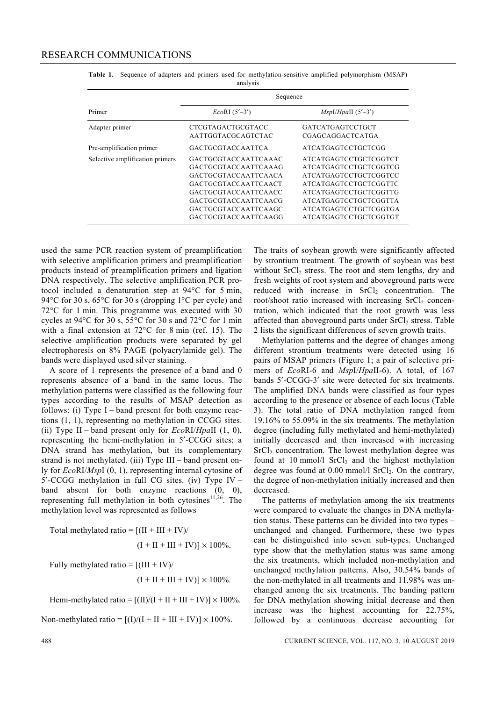|                                 | Sequence                    |                              |  |  |  |
|---------------------------------|-----------------------------|------------------------------|--|--|--|
| Primer                          | $EcoRI(5'-3')$              | $MspI/HpalI$ (5'-3')         |  |  |  |
| Adapter primer                  | CTCGTAGACTGCGTACC           | <b>GATCATGAGTCCTGCT</b>      |  |  |  |
|                                 | AATTGGTACGCAGTCTAC          | <b>CGAGCAGGACTCATGA</b>      |  |  |  |
| Pre-amplification primer        | <b>GACTGCGTACCAATTCA</b>    | <b>ATCATGAGTCCTGCTCGG</b>    |  |  |  |
| Selective amplification primers | <b>GACTGCGTACCAATTCAAAC</b> | ATCATGAGTCCTGCTCGGTCT        |  |  |  |
|                                 | <b>GACTGCGTACCAATTCAAAG</b> | ATCATGAGTCCTGCTCGGTCG        |  |  |  |
|                                 | <b>GACTGCGTACCAATTCAACA</b> | <b>ATCATGAGTCCTGCTCGGTCC</b> |  |  |  |
|                                 | <b>GACTGCGTACCAATTCAACT</b> | <b>ATCATGAGTCCTGCTCGGTTC</b> |  |  |  |
|                                 | <b>GACTGCGTACCAATTCAACC</b> | <b>ATCATGAGTCCTGCTCGGTTG</b> |  |  |  |
|                                 | <b>GACTGCGTACCAATTCAACG</b> | <b>ATCATGAGTCCTGCTCGGTTA</b> |  |  |  |
|                                 | <b>GACTGCGTACCAATTCAAGC</b> | <b>ATCATGAGTCCTGCTCGGTGA</b> |  |  |  |
|                                 | GACTGCGTACCAATTCAAGG        | ATCATGAGTCCTGCTCGGTGT        |  |  |  |

**Table 1.** Sequence of adapters and primers used for methylation-sensitive amplified polymorphism (MSAP) analysis

used the same PCR reaction system of preamplification with selective amplification primers and preamplification products instead of preamplification primers and ligation DNA respectively. The selective amplification PCR protocol included a denaturation step at 94°C for 5 min, 94°C for 30 s, 65°C for 30 s (dropping 1°C per cycle) and 72°C for 1 min. This programme was executed with 30 cycles at 94°C for 30 s, 55°C for 30 s and 72°C for 1 min with a final extension at 72°C for 8 min (ref. 15). The selective amplification products were separated by gel electrophoresis on 8% PAGE (polyacrylamide gel). The bands were displayed used silver staining.

 A score of 1 represents the presence of a band and 0 represents absence of a band in the same locus. The methylation patterns were classified as the following four types according to the results of MSAP detection as follows: (i) Type I – band present for both enzyme reactions (1, 1), representing no methylation in CCGG sites. (ii) Type II – band present only for *Eco*RI/*Hpa*II (1, 0), representing the hemi-methylation in 5′-CCGG sites; a DNA strand has methylation, but its complementary strand is not methylated. (iii) Type III – band present only for *Eco*RI/*Msp*I (0, 1), representing internal cytosine of 5′-CCGG methylation in full CG sites. (iv) Type IV – band absent for both enzyme reactions (0, 0), representing full methylation in both cytosines<sup>11,26</sup>. The methylation level was represented as follows

Total methylated ratio =  $[(II + III + IV)$  $(I + II + III + IV) \times 100\%$ .

Fully methylated ratio  $= [(III + IV)/$  $(I + II + III + IV) \times 100\%$ .

Hemi-methylated ratio =  $[(II)/(I + II + III + IV)] \times 100\%$ .

Non-methylated ratio =  $[(I)/(I + II + III + IV)] \times 100\%$ .

The traits of soybean growth were significantly affected by strontium treatment. The growth of soybean was best without SrCl<sub>2</sub> stress. The root and stem lengths, dry and fresh weights of root system and aboveground parts were reduced with increase in  $SrCl<sub>2</sub>$  concentration. The root/shoot ratio increased with increasing  $SrCl<sub>2</sub>$  concentration, which indicated that the root growth was less affected than aboveground parts under SrCl<sub>2</sub> stress. Table 2 lists the significant differences of seven growth traits.

 Methylation patterns and the degree of changes among different strontium treatments were detected using 16 pairs of MSAP primers (Figure 1; a pair of selective primers of *Eco*RI-6 and *Msp*I/*Hpa*II-6). A total, of 167 bands 5′-CCGG-3′ site were detected for six treatments. The amplified DNA bands were classified as four types according to the presence or absence of each locus (Table 3). The total ratio of DNA methylation ranged from 19.16% to 55.09% in the six treatments. The methylation degree (including fully methylated and hemi-methylated) initially decreased and then increased with increasing  $SrCl<sub>2</sub> concentration. The lowest methylation degree was$ found at 10 mmol/l  $SrCl<sub>2</sub>$  and the highest methylation degree was found at  $0.00$  mmol/l SrCl<sub>2</sub>. On the contrary, the degree of non-methylation initially increased and then decreased.

 The patterns of methylation among the six treatments were compared to evaluate the changes in DNA methylation status. These patterns can be divided into two types – unchanged and changed. Furthermore, these two types can be distinguished into seven sub-types. Unchanged type show that the methylation status was same among the six treatments, which included non-methylation and unchanged methylation patterns. Also, 30.54% bands of the non-methylated in all treatments and 11.98% was unchanged among the six treatments. The banding pattern for DNA methylation showing initial decrease and then increase was the highest accounting for 22.75%, followed by a continuous decrease accounting for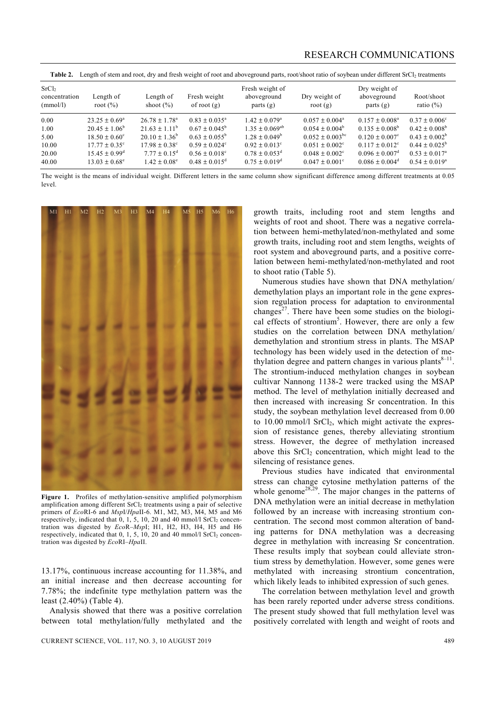| Length of<br>root $(\%)$ | Length of<br>shoot $(\% )$                                                       | Fresh weight<br>of root $(g)$                             | Fresh weight of<br>aboveground<br>parts $(g)$        | Dry weight of<br>root $(g)$                                 | Dry weight of<br>aboveground<br>parts $(g)$                      | Root/shoot<br>ratio $(\% )$                                                                                                                                                                             |
|--------------------------|----------------------------------------------------------------------------------|-----------------------------------------------------------|------------------------------------------------------|-------------------------------------------------------------|------------------------------------------------------------------|---------------------------------------------------------------------------------------------------------------------------------------------------------------------------------------------------------|
| $23.25 + 0.69^a$         | $26.78 \pm 1.78^{\circ}$                                                         | $0.83 + 0.035^a$                                          | $1.42 \pm 0.079$ <sup>a</sup>                        | $0.057 + 0.004^a$                                           | $0.157 + 0.008^a$                                                | $0.37 + 0.006^{\circ}$<br>$0.42 \pm 0.008^b$                                                                                                                                                            |
| $18.50 \pm 0.60^{\circ}$ | $20.10 + 1.36^b$                                                                 | $0.63 + 0.055^b$                                          | $1.28 \pm 0.049^b$                                   | $0.052 \pm 0.003$ <sup>bc</sup>                             | $0.120 + 0.007^{\circ}$                                          | $0.43 + 0.002^b$                                                                                                                                                                                        |
| $15.45 \pm 0.99^{\rm d}$ | $7.77 + 0.15^d$<br>$1.42 \pm 0.08^{\circ}$                                       | $0.56 \pm 0.018$ <sup>c</sup><br>$0.48 \pm 0.015^{\circ}$ | $0.78 \pm 0.053^{\circ}$<br>$0.75 \pm 0.019^{\circ}$ | $0.048 \pm 0.002$ <sup>c</sup><br>$0.047 \pm 0.001^{\circ}$ | $0.096 \pm 0.007$ <sup>d</sup><br>$0.086 \pm 0.004$ <sup>d</sup> | $0.44 \pm 0.025^{\rm b}$<br>$0.53 + 0.017^a$<br>$0.54 \pm 0.019^{\circ}$                                                                                                                                |
|                          | $20.45 \pm 1.06^{\circ}$<br>$17.77 \pm 0.35^{\circ}$<br>$13.03 \pm 0.68^{\circ}$ | $21.63 \pm 1.11^{\circ}$<br>$17.98 + 0.38^{\circ}$        | $0.67 + 0.045^{\circ}$<br>$0.59 + 0.024^{\circ}$     | $1.35 + 0.069^{ab}$<br>$0.92 \pm 0.013$ <sup>c</sup>        | $0.054 \pm 0.004^{\circ}$<br>$0.051 + 0.002^{\circ}$             | Length of stem and root, dry and fresh weight of root and aboveground parts, root/shoot ratio of soybean under different SrCl <sub>2</sub> treatments<br>$0.135 \pm 0.008^{\circ}$<br>$0.117 + 0.012^c$ |

The weight is the means of individual weight. Different letters in the same column show significant difference among different treatments at 0.05 level.



**Figure 1.** Profiles of methylation-sensitive amplified polymorphism amplification among different SrCl<sub>2</sub> treatments using a pair of selective primers of *Eco*RI-6 and *Msp*I/*Hpa*II-6. M1, M2, M3, M4, M5 and M6 respectively, indicated that  $0, 1, 5, 10, 20$  and  $40$  mmol/l  $SrCl<sub>2</sub>$  concentration was digested by *Eco*R–*Msp*I; H1, H2, H3, H4, H5 and H6 respectively, indicated that  $0, 1, 5, 10, 20$  and  $40$  mmol/l  $SrCl<sub>2</sub>$  concentration was digested by *Eco*RI–*Hpa*II.

13.17%, continuous increase accounting for 11.38%, and an initial increase and then decrease accounting for 7.78%; the indefinite type methylation pattern was the least (2.40%) (Table 4).

 Analysis showed that there was a positive correlation between total methylation/fully methylated and the growth traits, including root and stem lengths and weights of root and shoot. There was a negative correlation between hemi-methylated/non-methylated and some growth traits, including root and stem lengths, weights of root system and aboveground parts, and a positive correlation between hemi-methylated/non-methylated and root to shoot ratio (Table 5).

 Numerous studies have shown that DNA methylation/ demethylation plays an important role in the gene expression regulation process for adaptation to environmental changes<sup>27</sup>. There have been some studies on the biological effects of strontium<sup>5</sup>. However, there are only a few studies on the correlation between DNA methylation/ demethylation and strontium stress in plants. The MSAP technology has been widely used in the detection of methylation degree and pattern changes in various plants $8-11$ . The strontium-induced methylation changes in soybean cultivar Nannong 1138-2 were tracked using the MSAP method. The level of methylation initially decreased and then increased with increasing Sr concentration. In this study, the soybean methylation level decreased from 0.00 to  $10.00$  mmol/l SrCl<sub>2</sub>, which might activate the expression of resistance genes, thereby alleviating strontium stress. However, the degree of methylation increased above this  $SrCl<sub>2</sub>$  concentration, which might lead to the silencing of resistance genes.

 Previous studies have indicated that environmental stress can change cytosine methylation patterns of the whole genome<sup>28,29</sup>. The major changes in the patterns of DNA methylation were an initial decrease in methylation followed by an increase with increasing strontium concentration. The second most common alteration of banding patterns for DNA methylation was a decreasing degree in methylation with increasing Sr concentration. These results imply that soybean could alleviate strontium stress by demethylation. However, some genes were methylated with increasing strontium concentration, which likely leads to inhibited expression of such genes.

 The correlation between methylation level and growth has been rarely reported under adverse stress conditions. The present study showed that full methylation level was positively correlated with length and weight of roots and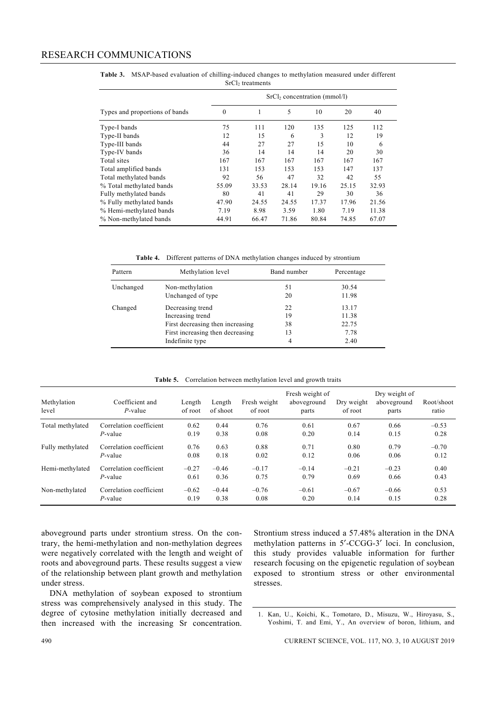|                                | $SrCl2 concentration (mmol/l)$ |       |       |       |       |       |  |
|--------------------------------|--------------------------------|-------|-------|-------|-------|-------|--|
| Types and proportions of bands | $\theta$                       |       | 5     | 10    | 20    | 40    |  |
| Type-I bands                   | 75                             | 111   | 120   | 135   | 125   | 112   |  |
| Type-II bands                  | 12                             | 15    | 6     | 3     | 12    | 19    |  |
| Type-III bands                 | 44                             | 27    | 27    | 15    | 10    | 6     |  |
| Type-IV bands                  | 36                             | 14    | 14    | 14    | 20    | 30    |  |
| Total sites                    | 167                            | 167   | 167   | 167   | 167   | 167   |  |
| Total amplified bands          | 131                            | 153   | 153   | 153   | 147   | 137   |  |
| Total methylated bands         | 92                             | 56    | 47    | 32    | 42    | 55    |  |
| % Total methylated bands       | 55.09                          | 33.53 | 28.14 | 19.16 | 25.15 | 32.93 |  |
| Fully methylated bands         | 80                             | 41    | 41    | 29    | 30    | 36    |  |
| % Fully methylated bands       | 47.90                          | 24.55 | 24.55 | 17.37 | 17.96 | 21.56 |  |
| % Hemi-methylated bands        | 7.19                           | 8.98  | 3.59  | 1.80  | 7.19  | 11.38 |  |
| % Non-methylated bands         | 44.91                          | 66.47 | 71.86 | 80.84 | 74.85 | 67.07 |  |

**Table 3.** MSAP-based evaluation of chilling-induced changes to methylation measured under different SrCl<sub>2</sub> treatments

**Table 4.** Different patterns of DNA methylation changes induced by strontium

| Pattern   | Methylation level                | Band number | Percentage |  |
|-----------|----------------------------------|-------------|------------|--|
| Unchanged | Non-methylation                  | 51          | 30.54      |  |
|           | Unchanged of type                | 20          | 11.98      |  |
| Changed   | Decreasing trend                 | 22          | 13.17      |  |
|           | Increasing trend                 | 19          | 11.38      |  |
|           | First decreasing then increasing | 38          | 22.75      |  |
|           | First increasing then decreasing | 13          | 7.78       |  |
|           | Indefinite type                  | 4           | 2.40       |  |

| <b>Table 5.</b> Correlation between methylation level and growth traits |  |  |
|-------------------------------------------------------------------------|--|--|
|                                                                         |  |  |

| Methylation<br>level | Coefficient and<br>$P$ -value | Length<br>of root | Length<br>of shoot | Fresh weight<br>of root | Fresh weight of<br>aboveground<br>parts | Dry weight<br>of root | Dry weight of<br>aboveground<br>parts | Root/shoot<br>ratio |
|----------------------|-------------------------------|-------------------|--------------------|-------------------------|-----------------------------------------|-----------------------|---------------------------------------|---------------------|
| Total methylated     | Correlation coefficient       | 0.62              | 0.44               | 0.76                    | 0.61                                    | 0.67                  | 0.66                                  | $-0.53$             |
|                      | $P$ -value                    | 0.19              | 0.38               | 0.08                    | 0.20                                    | 0.14                  | 0.15                                  | 0.28                |
| Fully methylated     | Correlation coefficient       | 0.76              | 0.63               | 0.88                    | 0.71                                    | 0.80                  | 0.79                                  | $-0.70$             |
|                      | $P$ -value                    | 0.08              | 0.18               | 0.02                    | 0.12                                    | 0.06                  | 0.06                                  | 0.12                |
| Hemi-methylated      | Correlation coefficient       | $-0.27$           | $-0.46$            | $-0.17$                 | $-0.14$                                 | $-0.21$               | $-0.23$                               | 0.40                |
|                      | $P$ -value                    | 0.61              | 0.36               | 0.75                    | 0.79                                    | 0.69                  | 0.66                                  | 0.43                |
| Non-methylated       | Correlation coefficient       | $-0.62$           | $-0.44$            | $-0.76$                 | $-0.61$                                 | $-0.67$               | $-0.66$                               | 0.53                |
|                      | $P$ -value                    | 0.19              | 0.38               | 0.08                    | 0.20                                    | 0.14                  | 0.15                                  | 0.28                |

aboveground parts under strontium stress. On the contrary, the hemi-methylation and non-methylation degrees were negatively correlated with the length and weight of roots and aboveground parts. These results suggest a view of the relationship between plant growth and methylation under stress.

 DNA methylation of soybean exposed to strontium stress was comprehensively analysed in this study. The degree of cytosine methylation initially decreased and then increased with the increasing Sr concentration. Strontium stress induced a 57.48% alteration in the DNA methylation patterns in 5′-CCGG-3′ loci. In conclusion, this study provides valuable information for further research focusing on the epigenetic regulation of soybean exposed to strontium stress or other environmental stresses.

1. Kan, U., Koichi, K., Tomotaro, D., Misuzu, W., Hiroyasu, S., Yoshimi, T. and Emi, Y., An overview of boron, lithium, and